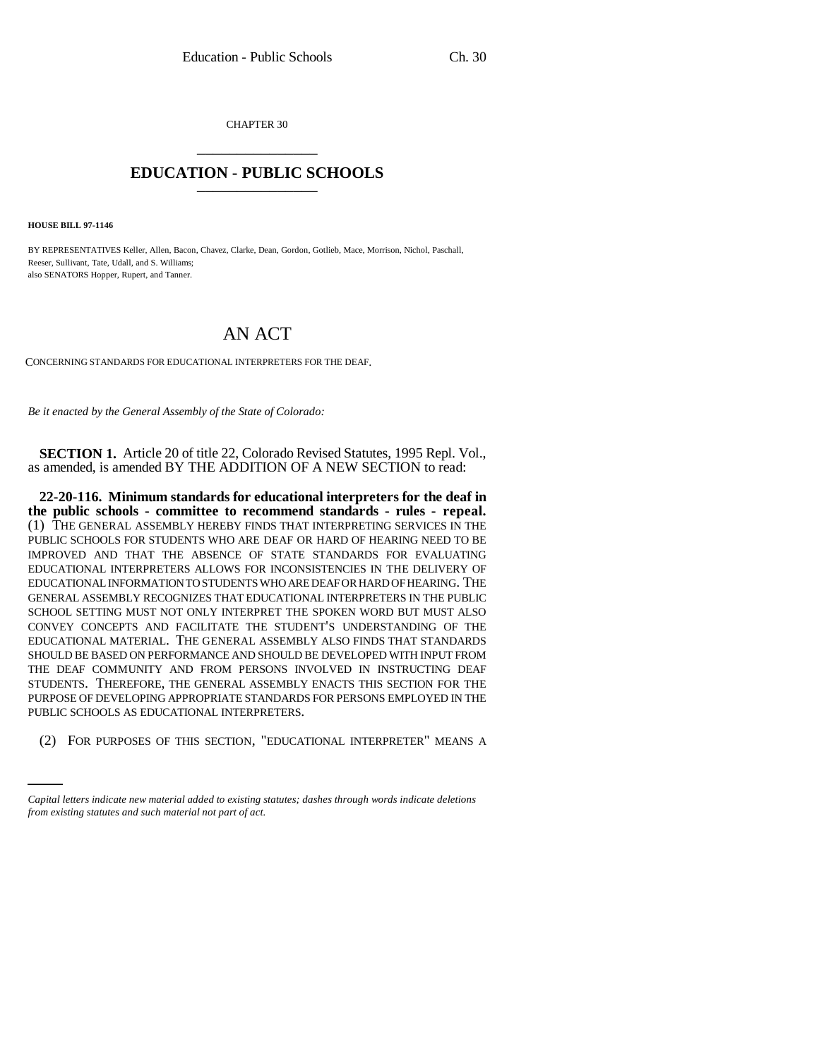CHAPTER 30 \_\_\_\_\_\_\_\_\_\_\_\_\_\_\_

## **EDUCATION - PUBLIC SCHOOLS** \_\_\_\_\_\_\_\_\_\_\_\_\_\_\_

**HOUSE BILL 97-1146**

BY REPRESENTATIVES Keller, Allen, Bacon, Chavez, Clarke, Dean, Gordon, Gotlieb, Mace, Morrison, Nichol, Paschall, Reeser, Sullivant, Tate, Udall, and S. Williams; also SENATORS Hopper, Rupert, and Tanner.

## AN ACT

CONCERNING STANDARDS FOR EDUCATIONAL INTERPRETERS FOR THE DEAF.

*Be it enacted by the General Assembly of the State of Colorado:*

**SECTION 1.** Article 20 of title 22, Colorado Revised Statutes, 1995 Repl. Vol., as amended, is amended BY THE ADDITION OF A NEW SECTION to read:

PUBLIC SCHOOLS AS EDUCATIONAL INTERPRETERS. **22-20-116. Minimum standards for educational interpreters for the deaf in the public schools - committee to recommend standards - rules - repeal.** (1) THE GENERAL ASSEMBLY HEREBY FINDS THAT INTERPRETING SERVICES IN THE PUBLIC SCHOOLS FOR STUDENTS WHO ARE DEAF OR HARD OF HEARING NEED TO BE IMPROVED AND THAT THE ABSENCE OF STATE STANDARDS FOR EVALUATING EDUCATIONAL INTERPRETERS ALLOWS FOR INCONSISTENCIES IN THE DELIVERY OF EDUCATIONAL INFORMATION TO STUDENTS WHO ARE DEAF OR HARD OF HEARING. THE GENERAL ASSEMBLY RECOGNIZES THAT EDUCATIONAL INTERPRETERS IN THE PUBLIC SCHOOL SETTING MUST NOT ONLY INTERPRET THE SPOKEN WORD BUT MUST ALSO CONVEY CONCEPTS AND FACILITATE THE STUDENT'S UNDERSTANDING OF THE EDUCATIONAL MATERIAL. THE GENERAL ASSEMBLY ALSO FINDS THAT STANDARDS SHOULD BE BASED ON PERFORMANCE AND SHOULD BE DEVELOPED WITH INPUT FROM THE DEAF COMMUNITY AND FROM PERSONS INVOLVED IN INSTRUCTING DEAF STUDENTS. THEREFORE, THE GENERAL ASSEMBLY ENACTS THIS SECTION FOR THE PURPOSE OF DEVELOPING APPROPRIATE STANDARDS FOR PERSONS EMPLOYED IN THE

(2) FOR PURPOSES OF THIS SECTION, "EDUCATIONAL INTERPRETER" MEANS A

*Capital letters indicate new material added to existing statutes; dashes through words indicate deletions from existing statutes and such material not part of act.*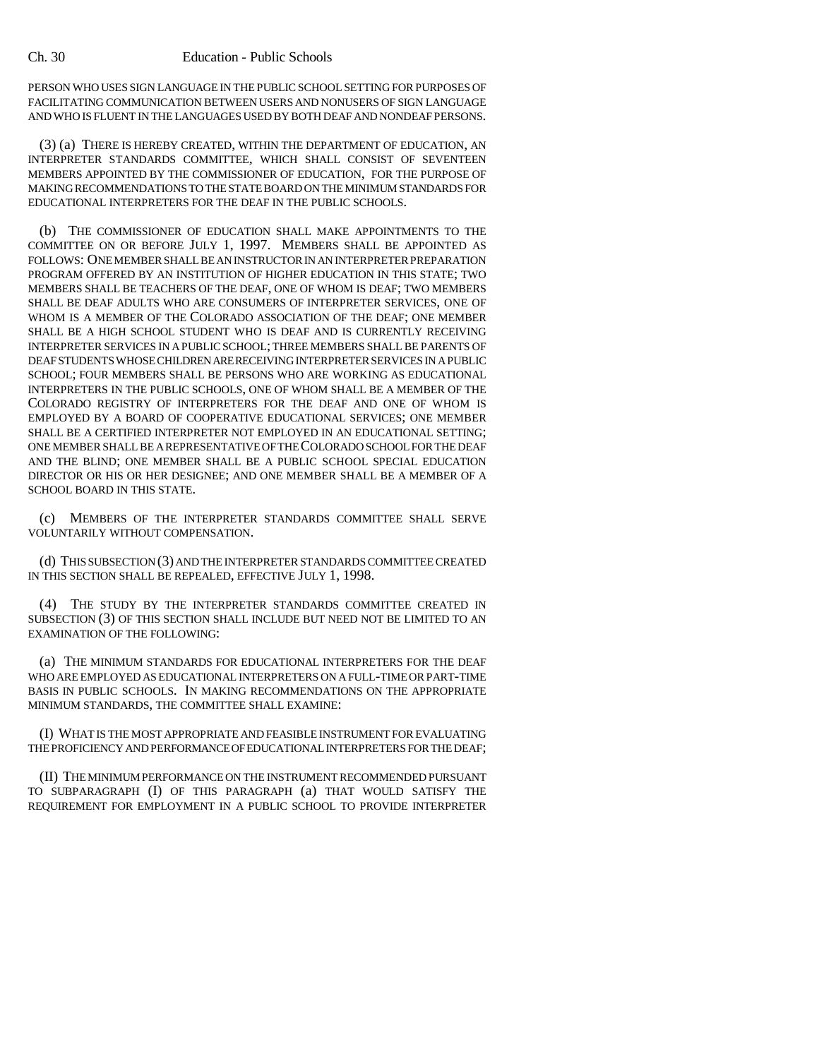## Ch. 30 Education - Public Schools

PERSON WHO USES SIGN LANGUAGE IN THE PUBLIC SCHOOL SETTING FOR PURPOSES OF FACILITATING COMMUNICATION BETWEEN USERS AND NONUSERS OF SIGN LANGUAGE AND WHO IS FLUENT IN THE LANGUAGES USED BY BOTH DEAF AND NONDEAF PERSONS.

(3) (a) THERE IS HEREBY CREATED, WITHIN THE DEPARTMENT OF EDUCATION, AN INTERPRETER STANDARDS COMMITTEE, WHICH SHALL CONSIST OF SEVENTEEN MEMBERS APPOINTED BY THE COMMISSIONER OF EDUCATION, FOR THE PURPOSE OF MAKING RECOMMENDATIONS TO THE STATE BOARD ON THE MINIMUM STANDARDS FOR EDUCATIONAL INTERPRETERS FOR THE DEAF IN THE PUBLIC SCHOOLS.

(b) THE COMMISSIONER OF EDUCATION SHALL MAKE APPOINTMENTS TO THE COMMITTEE ON OR BEFORE JULY 1, 1997. MEMBERS SHALL BE APPOINTED AS FOLLOWS: ONE MEMBER SHALL BE AN INSTRUCTOR IN AN INTERPRETER PREPARATION PROGRAM OFFERED BY AN INSTITUTION OF HIGHER EDUCATION IN THIS STATE; TWO MEMBERS SHALL BE TEACHERS OF THE DEAF, ONE OF WHOM IS DEAF; TWO MEMBERS SHALL BE DEAF ADULTS WHO ARE CONSUMERS OF INTERPRETER SERVICES, ONE OF WHOM IS A MEMBER OF THE COLORADO ASSOCIATION OF THE DEAF; ONE MEMBER SHALL BE A HIGH SCHOOL STUDENT WHO IS DEAF AND IS CURRENTLY RECEIVING INTERPRETER SERVICES IN A PUBLIC SCHOOL; THREE MEMBERS SHALL BE PARENTS OF DEAF STUDENTS WHOSE CHILDREN ARE RECEIVING INTERPRETER SERVICES IN A PUBLIC SCHOOL; FOUR MEMBERS SHALL BE PERSONS WHO ARE WORKING AS EDUCATIONAL INTERPRETERS IN THE PUBLIC SCHOOLS, ONE OF WHOM SHALL BE A MEMBER OF THE COLORADO REGISTRY OF INTERPRETERS FOR THE DEAF AND ONE OF WHOM IS EMPLOYED BY A BOARD OF COOPERATIVE EDUCATIONAL SERVICES; ONE MEMBER SHALL BE A CERTIFIED INTERPRETER NOT EMPLOYED IN AN EDUCATIONAL SETTING; ONE MEMBER SHALL BE A REPRESENTATIVE OF THE COLORADO SCHOOL FOR THE DEAF AND THE BLIND; ONE MEMBER SHALL BE A PUBLIC SCHOOL SPECIAL EDUCATION DIRECTOR OR HIS OR HER DESIGNEE; AND ONE MEMBER SHALL BE A MEMBER OF A SCHOOL BOARD IN THIS STATE.

(c) MEMBERS OF THE INTERPRETER STANDARDS COMMITTEE SHALL SERVE VOLUNTARILY WITHOUT COMPENSATION.

(d) THIS SUBSECTION (3) AND THE INTERPRETER STANDARDS COMMITTEE CREATED IN THIS SECTION SHALL BE REPEALED, EFFECTIVE JULY 1, 1998.

(4) THE STUDY BY THE INTERPRETER STANDARDS COMMITTEE CREATED IN SUBSECTION (3) OF THIS SECTION SHALL INCLUDE BUT NEED NOT BE LIMITED TO AN EXAMINATION OF THE FOLLOWING:

(a) THE MINIMUM STANDARDS FOR EDUCATIONAL INTERPRETERS FOR THE DEAF WHO ARE EMPLOYED AS EDUCATIONAL INTERPRETERS ON A FULL-TIME OR PART-TIME BASIS IN PUBLIC SCHOOLS. IN MAKING RECOMMENDATIONS ON THE APPROPRIATE MINIMUM STANDARDS, THE COMMITTEE SHALL EXAMINE:

(I) WHAT IS THE MOST APPROPRIATE AND FEASIBLE INSTRUMENT FOR EVALUATING THE PROFICIENCY AND PERFORMANCE OF EDUCATIONAL INTERPRETERS FOR THE DEAF;

(II) THE MINIMUM PERFORMANCE ON THE INSTRUMENT RECOMMENDED PURSUANT TO SUBPARAGRAPH (I) OF THIS PARAGRAPH (a) THAT WOULD SATISFY THE REQUIREMENT FOR EMPLOYMENT IN A PUBLIC SCHOOL TO PROVIDE INTERPRETER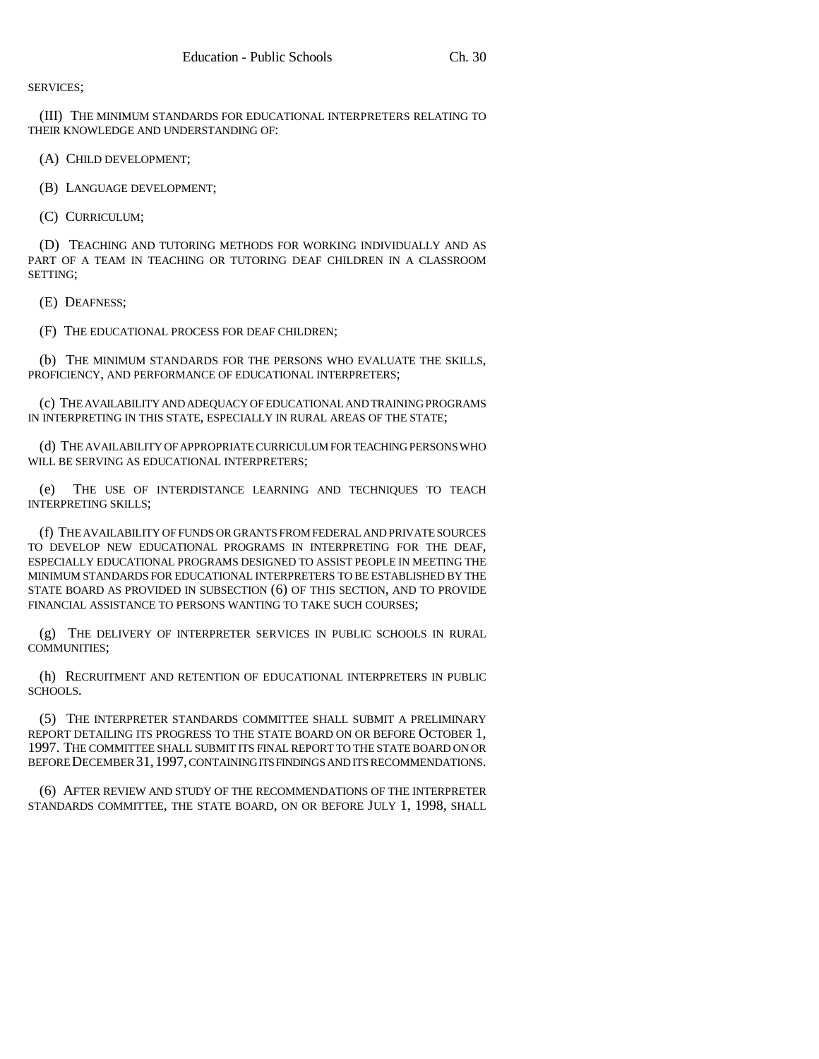SERVICES;

(III) THE MINIMUM STANDARDS FOR EDUCATIONAL INTERPRETERS RELATING TO THEIR KNOWLEDGE AND UNDERSTANDING OF:

(A) CHILD DEVELOPMENT;

(B) LANGUAGE DEVELOPMENT;

(C) CURRICULUM;

(D) TEACHING AND TUTORING METHODS FOR WORKING INDIVIDUALLY AND AS PART OF A TEAM IN TEACHING OR TUTORING DEAF CHILDREN IN A CLASSROOM SETTING;

(E) DEAFNESS;

(F) THE EDUCATIONAL PROCESS FOR DEAF CHILDREN;

(b) THE MINIMUM STANDARDS FOR THE PERSONS WHO EVALUATE THE SKILLS, PROFICIENCY, AND PERFORMANCE OF EDUCATIONAL INTERPRETERS;

(c) THE AVAILABILITY AND ADEQUACY OF EDUCATIONAL AND TRAINING PROGRAMS IN INTERPRETING IN THIS STATE, ESPECIALLY IN RURAL AREAS OF THE STATE;

(d) THE AVAILABILITY OF APPROPRIATE CURRICULUM FOR TEACHING PERSONS WHO WILL BE SERVING AS EDUCATIONAL INTERPRETERS;

(e) THE USE OF INTERDISTANCE LEARNING AND TECHNIQUES TO TEACH INTERPRETING SKILLS;

(f) THE AVAILABILITY OF FUNDS OR GRANTS FROM FEDERAL AND PRIVATE SOURCES TO DEVELOP NEW EDUCATIONAL PROGRAMS IN INTERPRETING FOR THE DEAF, ESPECIALLY EDUCATIONAL PROGRAMS DESIGNED TO ASSIST PEOPLE IN MEETING THE MINIMUM STANDARDS FOR EDUCATIONAL INTERPRETERS TO BE ESTABLISHED BY THE STATE BOARD AS PROVIDED IN SUBSECTION (6) OF THIS SECTION, AND TO PROVIDE FINANCIAL ASSISTANCE TO PERSONS WANTING TO TAKE SUCH COURSES;

(g) THE DELIVERY OF INTERPRETER SERVICES IN PUBLIC SCHOOLS IN RURAL COMMUNITIES;

(h) RECRUITMENT AND RETENTION OF EDUCATIONAL INTERPRETERS IN PUBLIC SCHOOLS.

(5) THE INTERPRETER STANDARDS COMMITTEE SHALL SUBMIT A PRELIMINARY REPORT DETAILING ITS PROGRESS TO THE STATE BOARD ON OR BEFORE OCTOBER 1, 1997. THE COMMITTEE SHALL SUBMIT ITS FINAL REPORT TO THE STATE BOARD ON OR BEFORE DECEMBER 31,1997, CONTAINING ITS FINDINGS AND ITS RECOMMENDATIONS.

(6) AFTER REVIEW AND STUDY OF THE RECOMMENDATIONS OF THE INTERPRETER STANDARDS COMMITTEE, THE STATE BOARD, ON OR BEFORE JULY 1, 1998, SHALL